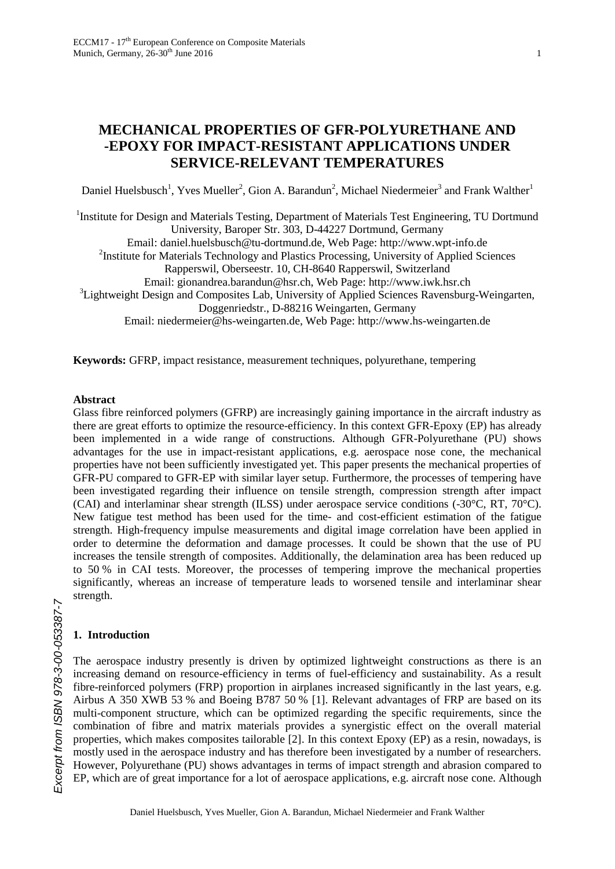# **MECHANICAL PROPERTIES OF GFR-POLYURETHANE AND -EPOXY FOR IMPACT-RESISTANT APPLICATIONS UNDER SERVICE-RELEVANT TEMPERATURES**

Daniel Huelsbusch<sup>1</sup>, Yves Mueller<sup>2</sup>, Gion A. Barandun<sup>2</sup>, Michael Niedermeier<sup>3</sup> and Frank Walther<sup>1</sup>

<sup>1</sup>Institute for Design and Materials Testing, Department of Materials Test Engineering, TU Dortmund University, Baroper Str. 303, D-44227 Dortmund, Germany Email: daniel.huelsbusch@tu-dortmund.de, Web Page: http://www.wpt-info.de <sup>2</sup>Institute for Materials Technology and Plastics Processing, University of Applied Sciences Rapperswil, Oberseestr. 10, CH-8640 Rapperswil, Switzerland Email: gionandrea.barandun@hsr.ch, Web Page: http://www.iwk.hsr.ch  $3$ Lightweight Design and Composites Lab, University of Applied Sciences Ravensburg-Weingarten, Doggenriedstr., D-88216 Weingarten, Germany Email: niedermeier@hs-weingarten.de, Web Page: http://www.hs-weingarten.de

**Keywords:** GFRP, impact resistance, measurement techniques, polyurethane, tempering

# **Abstract**

Glass fibre reinforced polymers (GFRP) are increasingly gaining importance in the aircraft industry as there are great efforts to optimize the resource-efficiency. In this context GFR-Epoxy (EP) has already been implemented in a wide range of constructions. Although GFR-Polyurethane (PU) shows advantages for the use in impact-resistant applications, e.g. aerospace nose cone, the mechanical properties have not been sufficiently investigated yet. This paper presents the mechanical properties of GFR-PU compared to GFR-EP with similar layer setup. Furthermore, the processes of tempering have been investigated regarding their influence on tensile strength, compression strength after impact (CAI) and interlaminar shear strength (ILSS) under aerospace service conditions (-30°C, RT, 70°C). New fatigue test method has been used for the time- and cost-efficient estimation of the fatigue strength. High-frequency impulse measurements and digital image correlation have been applied in order to determine the deformation and damage processes. It could be shown that the use of PU increases the tensile strength of composites. Additionally, the delamination area has been reduced up to 50 % in CAI tests. Moreover, the processes of tempering improve the mechanical properties significantly, whereas an increase of temperature leads to worsened tensile and interlaminar shear strength.

# **1. Introduction**

The aerospace industry presently is driven by optimized lightweight constructions as there is an increasing demand on resource-efficiency in terms of fuel-efficiency and sustainability. As a result fibre-reinforced polymers (FRP) proportion in airplanes increased significantly in the last years, e.g. Airbus A 350 XWB 53 % and Boeing B787 50 % [1]. Relevant advantages of FRP are based on its multi-component structure, which can be optimized regarding the specific requirements, since the combination of fibre and matrix materials provides a synergistic effect on the overall material properties, which makes composites tailorable [2]. In this context Epoxy (EP) as a resin, nowadays, is mostly used in the aerospace industry and has therefore been investigated by a number of researchers. However, Polyurethane (PU) shows advantages in terms of impact strength and abrasion compared to EP, which are of great importance for a lot of aerospace applications, e.g. aircraft nose cone. Although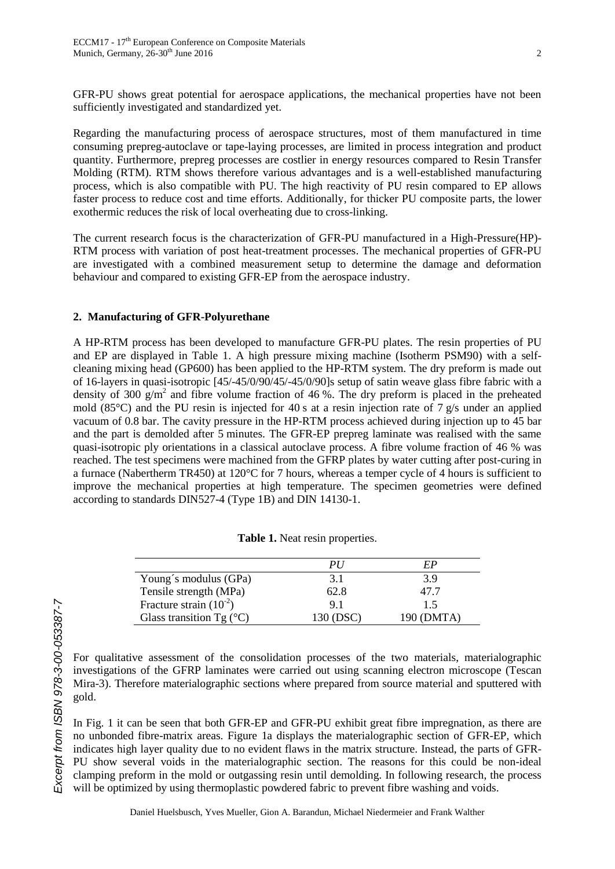GFR-PU shows great potential for aerospace applications, the mechanical properties have not been sufficiently investigated and standardized yet.

Regarding the manufacturing process of aerospace structures, most of them manufactured in time consuming prepreg-autoclave or tape-laying processes, are limited in process integration and product quantity. Furthermore, prepreg processes are costlier in energy resources compared to Resin Transfer Molding (RTM). RTM shows therefore various advantages and is a well-established manufacturing process, which is also compatible with PU. The high reactivity of PU resin compared to EP allows faster process to reduce cost and time efforts. Additionally, for thicker PU composite parts, the lower exothermic reduces the risk of local overheating due to cross-linking.

The current research focus is the characterization of GFR-PU manufactured in a High-Pressure(HP)- RTM process with variation of post heat-treatment processes. The mechanical properties of GFR-PU are investigated with a combined measurement setup to determine the damage and deformation behaviour and compared to existing GFR-EP from the aerospace industry.

# **2. Manufacturing of GFR-Polyurethane**

A HP-RTM process has been developed to manufacture GFR-PU plates. The resin properties of PU and EP are displayed in Table 1. A high pressure mixing machine (Isotherm PSM90) with a selfcleaning mixing head (GP600) has been applied to the HP-RTM system. The dry preform is made out of 16-layers in quasi-isotropic [45/-45/0/90/45/-45/0/90]s setup of satin weave glass fibre fabric with a density of 300  $\rm g/m^2$  and fibre volume fraction of 46%. The dry preform is placed in the preheated mold (85 $\degree$ C) and the PU resin is injected for 40 s at a resin injection rate of 7 g/s under an applied vacuum of 0.8 bar. The cavity pressure in the HP-RTM process achieved during injection up to 45 bar and the part is demolded after 5 minutes. The GFR-EP prepreg laminate was realised with the same quasi-isotropic ply orientations in a classical autoclave process. A fibre volume fraction of 46 % was reached. The test specimens were machined from the GFRP plates by water cutting after post-curing in a furnace (Nabertherm TR450) at 120°C for 7 hours, whereas a temper cycle of 4 hours is sufficient to improve the mechanical properties at high temperature. The specimen geometries were defined according to standards DIN527-4 (Type 1B) and DIN 14130-1.

|                                   | PI        | FР         |
|-----------------------------------|-----------|------------|
| Young's modulus (GPa)             | 3.1       | 3.9        |
| Tensile strength (MPa)            | 62.8      | 47.7       |
| Fracture strain $(10^{-2})$       | 91        | 15         |
| Glass transition Tg $(^{\circ}C)$ | 130 (DSC) | 190 (DMTA) |

**Table 1.** Neat resin properties.

For qualitative assessment of the consolidation processes of the two materials, materialographic investigations of the GFRP laminates were carried out using scanning electron microscope (Tescan Mira-3). Therefore materialographic sections where prepared from source material and sputtered with gold.

In Fig. 1 it can be seen that both GFR-EP and GFR-PU exhibit great fibre impregnation, as there are no unbonded fibre-matrix areas. Figure 1a displays the materialographic section of GFR-EP, which indicates high layer quality due to no evident flaws in the matrix structure. Instead, the parts of GFR-PU show several voids in the materialographic section. The reasons for this could be non-ideal clamping preform in the mold or outgassing resin until demolding. In following research, the process will be optimized by using thermoplastic powdered fabric to prevent fibre washing and voids.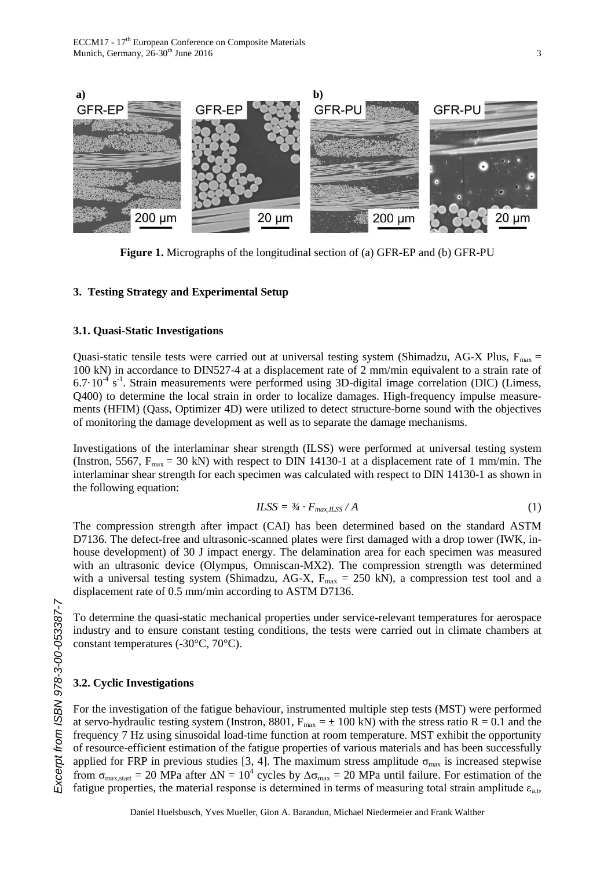

**Figure 1.** Micrographs of the longitudinal section of (a) GFR-EP and (b) GFR-PU

#### **3. Testing Strategy and Experimental Setup**

#### **3.1. Quasi-Static Investigations**

Quasi-static tensile tests were carried out at universal testing system (Shimadzu, AG-X Plus,  $F_{\text{max}} =$ 100 kN) in accordance to DIN527-4 at a displacement rate of 2 mm/min equivalent to a strain rate of  $6.7 \cdot 10^{-4}$  s<sup>-1</sup>. Strain measurements were performed using 3D-digital image correlation (DIC) (Limess, Q400) to determine the local strain in order to localize damages. High-frequency impulse measurements (HFIM) (Qass, Optimizer 4D) were utilized to detect structure-borne sound with the objectives of monitoring the damage development as well as to separate the damage mechanisms.

Investigations of the interlaminar shear strength (ILSS) were performed at universal testing system (Instron, 5567,  $F_{max} = 30$  kN) with respect to DIN 14130-1 at a displacement rate of 1 mm/min. The interlaminar shear strength for each specimen was calculated with respect to DIN 14130-1 as shown in the following equation:

$$
ILSS = \frac{3}{4} \cdot F_{max,ILSS} / A \tag{1}
$$

The compression strength after impact (CAI) has been determined based on the standard ASTM D7136. The defect-free and ultrasonic-scanned plates were first damaged with a drop tower (IWK, inhouse development) of 30 J impact energy. The delamination area for each specimen was measured with an ultrasonic device (Olympus, Omniscan-MX2). The compression strength was determined with a universal testing system (Shimadzu, AG-X,  $F_{\text{max}} = 250 \text{ kN}$ ), a compression test tool and a displacement rate of 0.5 mm/min according to ASTM D7136.

To determine the quasi-static mechanical properties under service-relevant temperatures for aerospace industry and to ensure constant testing conditions, the tests were carried out in climate chambers at constant temperatures (-30°C, 70°C).

#### **3.2. Cyclic Investigations**

For the investigation of the fatigue behaviour, instrumented multiple step tests (MST) were performed at servo-hydraulic testing system (Instron, 8801,  $F_{max} = \pm 100$  kN) with the stress ratio R = 0.1 and the frequency 7 Hz using sinusoidal load-time function at room temperature. MST exhibit the opportunity of resource-efficient estimation of the fatigue properties of various materials and has been successfully applied for FRP in previous studies [3, 4]. The maximum stress amplitude  $\sigma_{\text{max}}$  is increased stepwise from  $\sigma_{\text{max,start}} = 20$  MPa after  $\Delta N = 10^4$  cycles by  $\Delta \sigma_{\text{max}} = 20$  MPa until failure. For estimation of the fatigue properties, the material response is determined in terms of measuring total strain amplitude  $\varepsilon_{a,t}$ ,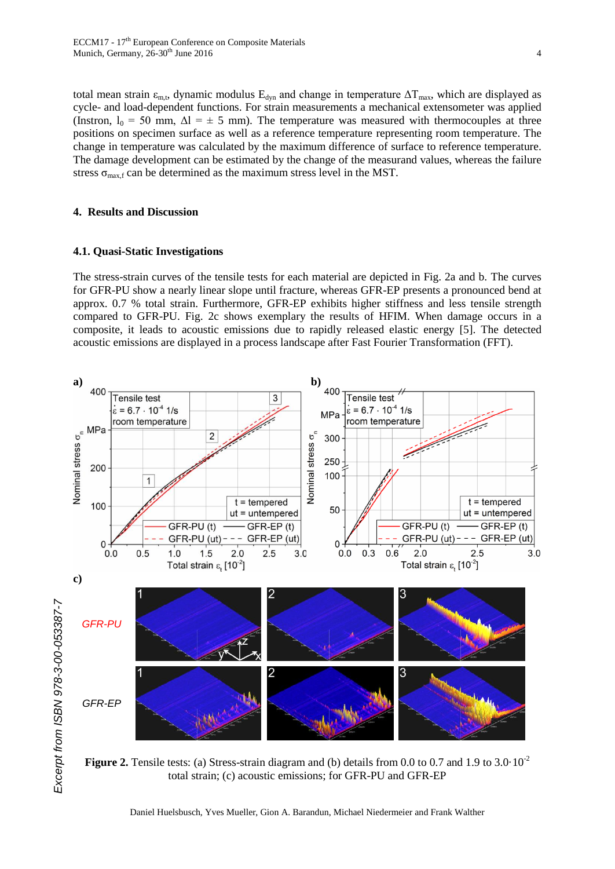total mean strain  $\varepsilon_{m,t}$ , dynamic modulus  $E_{dyn}$  and change in temperature  $\Delta T_{max}$ , which are displayed as cycle- and load-dependent functions. For strain measurements a mechanical extensometer was applied (Instron,  $l_0 = 50$  mm,  $\Delta l = \pm 5$  mm). The temperature was measured with thermocouples at three positions on specimen surface as well as a reference temperature representing room temperature. The change in temperature was calculated by the maximum difference of surface to reference temperature. The damage development can be estimated by the change of the measurand values, whereas the failure stress  $\sigma_{\text{max.f}}$  can be determined as the maximum stress level in the MST.

#### **4. Results and Discussion**

#### **4.1. Quasi-Static Investigations**

The stress-strain curves of the tensile tests for each material are depicted in Fig. 2a and b. The curves for GFR-PU show a nearly linear slope until fracture, whereas GFR-EP presents a pronounced bend at approx. 0.7 % total strain. Furthermore, GFR-EP exhibits higher stiffness and less tensile strength compared to GFR-PU. Fig. 2c shows exemplary the results of HFIM. When damage occurs in a composite, it leads to acoustic emissions due to rapidly released elastic energy [5]. The detected acoustic emissions are displayed in a process landscape after Fast Fourier Transformation (FFT).



**Figure 2.** Tensile tests: (a) Stress-strain diagram and (b) details from 0.0 to 0.7 and 1.9 to 3.0  $\cdot 10^{-2}$ total strain; (c) acoustic emissions; for GFR-PU and GFR-EP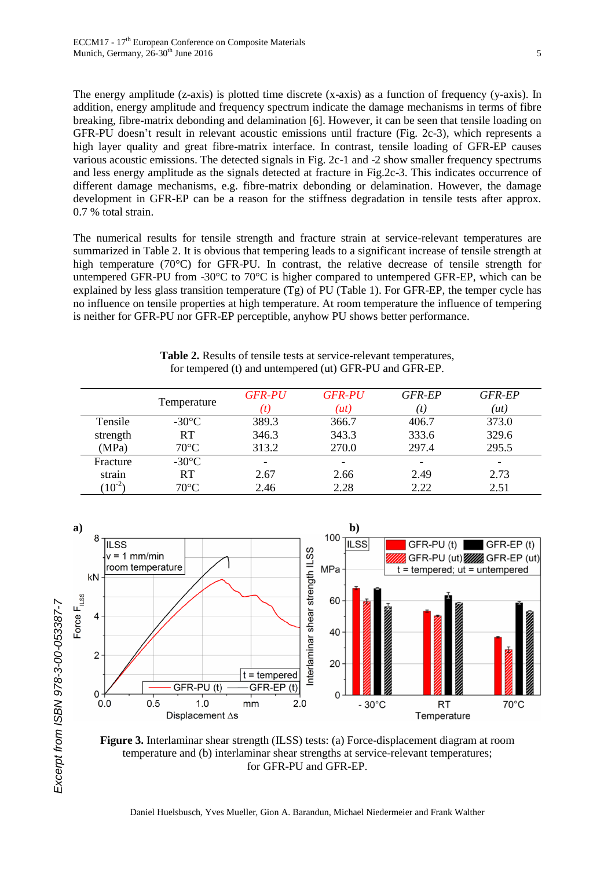The energy amplitude (z-axis) is plotted time discrete (x-axis) as a function of frequency (y-axis). In addition, energy amplitude and frequency spectrum indicate the damage mechanisms in terms of fibre breaking, fibre-matrix debonding and delamination [6]. However, it can be seen that tensile loading on GFR-PU doesn't result in relevant acoustic emissions until fracture (Fig. 2c-3), which represents a high layer quality and great fibre-matrix interface. In contrast, tensile loading of GFR-EP causes various acoustic emissions. The detected signals in Fig. 2c-1 and -2 show smaller frequency spectrums and less energy amplitude as the signals detected at fracture in Fig.2c-3. This indicates occurrence of different damage mechanisms, e.g. fibre-matrix debonding or delamination. However, the damage development in GFR-EP can be a reason for the stiffness degradation in tensile tests after approx. 0.7 % total strain.

The numerical results for tensile strength and fracture strain at service-relevant temperatures are summarized in Table 2. It is obvious that tempering leads to a significant increase of tensile strength at high temperature (70°C) for GFR-PU. In contrast, the relative decrease of tensile strength for untempered GFR-PU from -30°C to 70°C is higher compared to untempered GFR-EP, which can be explained by less glass transition temperature (Tg) of PU (Table 1). For GFR-EP, the temper cycle has no influence on tensile properties at high temperature. At room temperature the influence of tempering is neither for GFR-PU nor GFR-EP perceptible, anyhow PU shows better performance.

| Table 2. Results of tensile tests at service-relevant temperatures, |
|---------------------------------------------------------------------|
| for tempered (t) and untempered (ut) GFR-PU and GFR-EP.             |

|           | Temperature     | <b>GFR-PU</b><br> t | <b>GFR-PU</b><br>(u(t))  | GFR-EP | GFR-EP<br>$\hat{u}(t)$ |
|-----------|-----------------|---------------------|--------------------------|--------|------------------------|
| Tensile   | $-30^{\circ}$ C | 389.3               | 366.7                    | 406.7  | 373.0                  |
| strength  | <b>RT</b>       | 346.3               | 343.3                    | 333.6  | 329.6                  |
| (MPa)     | $70^{\circ}$ C  | 313.2               | 270.0                    | 297.4  | 295.5                  |
| Fracture  | $-30^{\circ}$ C |                     | $\overline{\phantom{a}}$ | -      |                        |
| strain    | RT              | 2.67                | 2.66                     | 2.49   | 2.73                   |
| $10^{-2}$ | $70^{\circ}$ C  | 2.46                | 2.28                     | 2.22   | 2.51                   |



**Figure 3.** Interlaminar shear strength (ILSS) tests: (a) Force-displacement diagram at room temperature and (b) interlaminar shear strengths at service-relevant temperatures; for GFR-PU and GFR-EP.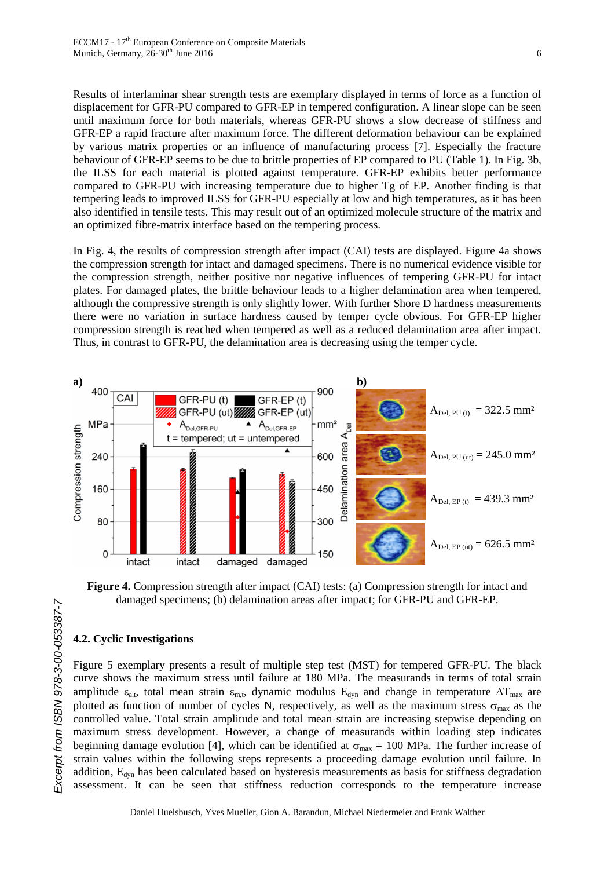Results of interlaminar shear strength tests are exemplary displayed in terms of force as a function of displacement for GFR-PU compared to GFR-EP in tempered configuration. A linear slope can be seen until maximum force for both materials, whereas GFR-PU shows a slow decrease of stiffness and GFR-EP a rapid fracture after maximum force. The different deformation behaviour can be explained by various matrix properties or an influence of manufacturing process [7]. Especially the fracture behaviour of GFR-EP seems to be due to brittle properties of EP compared to PU (Table 1). In Fig. 3b, the ILSS for each material is plotted against temperature. GFR-EP exhibits better performance compared to GFR-PU with increasing temperature due to higher Tg of EP. Another finding is that tempering leads to improved ILSS for GFR-PU especially at low and high temperatures, as it has been also identified in tensile tests. This may result out of an optimized molecule structure of the matrix and an optimized fibre-matrix interface based on the tempering process.

In Fig. 4, the results of compression strength after impact (CAI) tests are displayed. Figure 4a shows the compression strength for intact and damaged specimens. There is no numerical evidence visible for the compression strength, neither positive nor negative influences of tempering GFR-PU for intact plates. For damaged plates, the brittle behaviour leads to a higher delamination area when tempered, although the compressive strength is only slightly lower. With further Shore D hardness measurements there were no variation in surface hardness caused by temper cycle obvious. For GFR-EP higher compression strength is reached when tempered as well as a reduced delamination area after impact. Thus, in contrast to GFR-PU, the delamination area is decreasing using the temper cycle.



**Figure 4.** Compression strength after impact (CAI) tests: (a) Compression strength for intact and damaged specimens; (b) delamination areas after impact; for GFR-PU and GFR-EP.

# **4.2. Cyclic Investigations**

Figure 5 exemplary presents a result of multiple step test (MST) for tempered GFR-PU. The black curve shows the maximum stress until failure at 180 MPa. The measurands in terms of total strain amplitude  $\varepsilon_{a,t}$ , total mean strain  $\varepsilon_{m,t}$ , dynamic modulus  $E_{dyn}$  and change in temperature  $\Delta T_{max}$  are plotted as function of number of cycles N, respectively, as well as the maximum stress  $\sigma_{\text{max}}$  as the controlled value. Total strain amplitude and total mean strain are increasing stepwise depending on maximum stress development. However, a change of measurands within loading step indicates beginning damage evolution [4], which can be identified at  $\sigma_{\text{max}} = 100 \text{ MPa}$ . The further increase of strain values within the following steps represents a proceeding damage evolution until failure. In addition, E<sub>dyn</sub> has been calculated based on hysteresis measurements as basis for stiffness degradation assessment. It can be seen that stiffness reduction corresponds to the temperature increase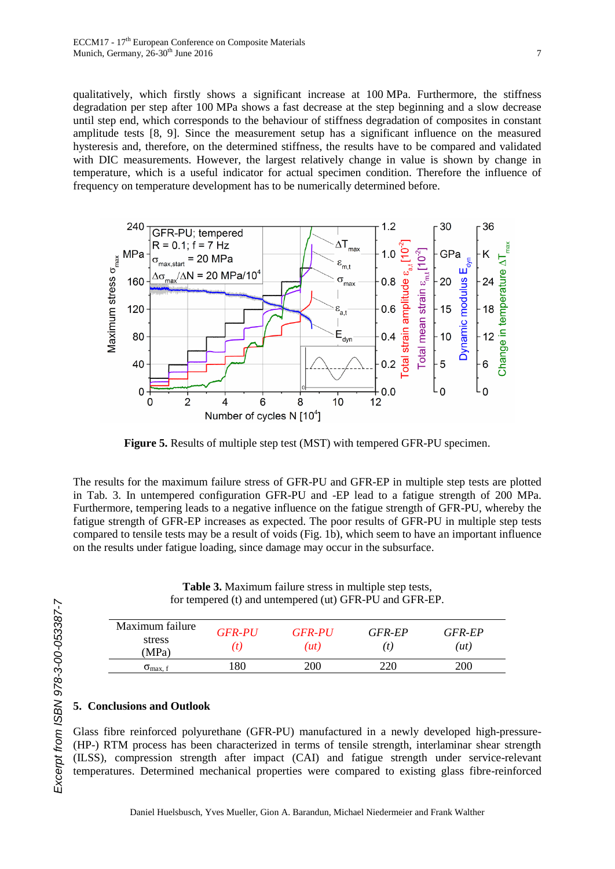qualitatively, which firstly shows a significant increase at 100 MPa. Furthermore, the stiffness degradation per step after 100 MPa shows a fast decrease at the step beginning and a slow decrease until step end, which corresponds to the behaviour of stiffness degradation of composites in constant amplitude tests [8, 9]. Since the measurement setup has a significant influence on the measured hysteresis and, therefore, on the determined stiffness, the results have to be compared and validated with DIC measurements. However, the largest relatively change in value is shown by change in temperature, which is a useful indicator for actual specimen condition. Therefore the influence of frequency on temperature development has to be numerically determined before.



**Figure 5.** Results of multiple step test (MST) with tempered GFR-PU specimen.

The results for the maximum failure stress of GFR-PU and GFR-EP in multiple step tests are plotted in Tab. 3. In untempered configuration GFR-PU and -EP lead to a fatigue strength of 200 MPa. Furthermore, tempering leads to a negative influence on the fatigue strength of GFR-PU, whereby the fatigue strength of GFR-EP increases as expected. The poor results of GFR-PU in multiple step tests compared to tensile tests may be a result of voids (Fig. 1b), which seem to have an important influence on the results under fatigue loading, since damage may occur in the subsurface.

**Table 3.** Maximum failure stress in multiple step tests, for tempered (t) and untempered (ut) GFR-PU and GFR-EP.

| Maximum failure<br>stress<br>(MPa) | <b>GFR-PU</b><br>(t. | <b>GFR-PU</b><br>(ut) | GFR-EP | GFR-EP<br>(ut) |
|------------------------------------|----------------------|-----------------------|--------|----------------|
| $\sigma_{\text{max. f}}$           | 180                  | 200                   | 220    | 200            |

### **5. Conclusions and Outlook**

Glass fibre reinforced polyurethane (GFR-PU) manufactured in a newly developed high-pressure- (HP-) RTM process has been characterized in terms of tensile strength, interlaminar shear strength (ILSS), compression strength after impact (CAI) and fatigue strength under service-relevant temperatures. Determined mechanical properties were compared to existing glass fibre-reinforced